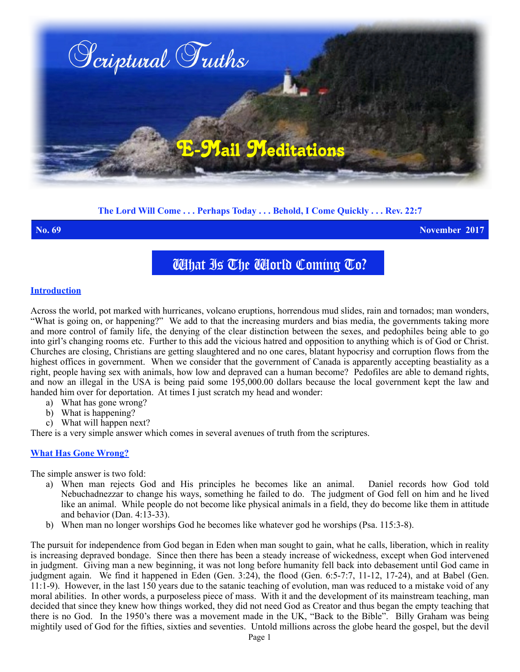

# **The Lord Will Come . . . Perhaps Today . . . Behold, I Come Quickly . . . Rev. 22:7**

**No. 69 November 2017**

What Is The World Coming To?

### **Introduction**

Across the world, pot marked with hurricanes, volcano eruptions, horrendous mud slides, rain and tornados; man wonders, "What is going on, or happening?" We add to that the increasing murders and bias media, the governments taking more and more control of family life, the denying of the clear distinction between the sexes, and pedophiles being able to go into girl's changing rooms etc. Further to this add the vicious hatred and opposition to anything which is of God or Christ. Churches are closing, Christians are getting slaughtered and no one cares, blatant hypocrisy and corruption flows from the highest offices in government. When we consider that the government of Canada is apparently accepting beastiality as a right, people having sex with animals, how low and depraved can a human become? Pedofiles are able to demand rights, and now an illegal in the USA is being paid some 195,000.00 dollars because the local government kept the law and handed him over for deportation. At times I just scratch my head and wonder:

- a) What has gone wrong?
- b) What is happening?
- c) What will happen next?

There is a very simple answer which comes in several avenues of truth from the scriptures.

## **What Has Gone Wrong?**

The simple answer is two fold:

- a) When man rejects God and His principles he becomes like an animal. Daniel records how God told Nebuchadnezzar to change his ways, something he failed to do. The judgment of God fell on him and he lived like an animal. While people do not become like physical animals in a field, they do become like them in attitude and behavior (Dan.  $4:13-33$ ).
- b) When man no longer worships God he becomes like whatever god he worships (Psa. 115:3-8).

The pursuit for independence from God began in Eden when man sought to gain, what he calls, liberation, which in reality is increasing depraved bondage. Since then there has been a steady increase of wickedness, except when God intervened in judgment. Giving man a new beginning, it was not long before humanity fell back into debasement until God came in judgment again. We find it happened in Eden (Gen. 3:24), the flood (Gen. 6:5-7:7, 11-12, 17-24), and at Babel (Gen.  $11:1-9$ ). However, in the last  $150$  years due to the satanic teaching of evolution, man was reduced to a mistake void of any moral abilities. In other words, a purposeless piece of mass. With it and the development of its mainstream teaching, man decided that since they knew how things worked, they did not need God as Creator and thus began the empty teaching that there is no God. In the 1950's there was a movement made in the UK, "Back to the Bible". Billy Graham was being mightily used of God for the fifties, sixties and seventies. Untold millions across the globe heard the gospel, but the devil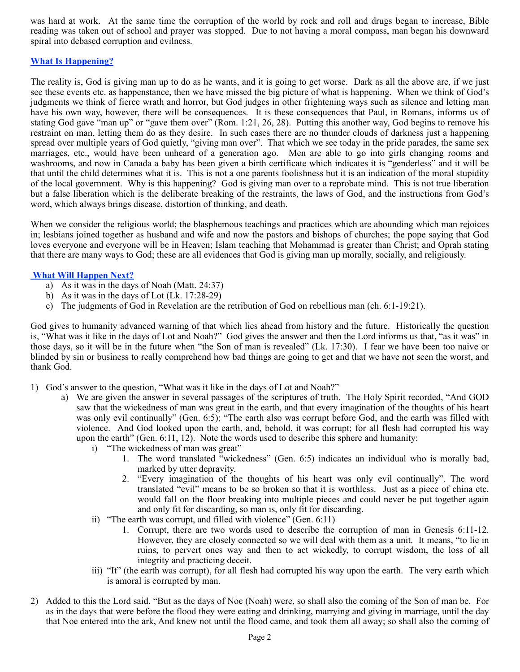was hard at work. At the same time the corruption of the world by rock and roll and drugs began to increase, Bible reading was taken out of school and prayer was stopped. Due to not having a moral compass, man began his downward spiral into debased corruption and evilness.

## **What Is Happening?**

The reality is, God is giving man up to do as he wants, and it is going to get worse. Dark as all the above are, if we just see these events etc. as happenstance, then we have missed the big picture of what is happening. When we think of God's judgments we think of fierce wrath and horror, but God judges in other frightening ways such as silence and letting man have his own way, however, there will be consequences. It is these consequences that Paul, in Romans, informs us of stating God gave "man up" or "gave them over" (Rom. 1:21, 26, 28). Putting this another way, God begins to remove his restraint on man, letting them do as they desire. In such cases there are no thunder clouds of darkness just a happening spread over multiple years of God quietly, "giving man over". That which we see today in the pride parades, the same sex marriages, etc., would have been unheard of a generation ago. Men are able to go into girls changing rooms and washrooms, and now in Canada a baby has been given a birth certificate which indicates it is "genderless" and it will be that until the child determines what it is. This is not a one parents foolishness but it is an indication of the moral stupidity of the local government. Why is this happening? God is giving man over to a reprobate mind. This is not true liberation but a false liberation which is the deliberate breaking of the restraints, the laws of God, and the instructions from God's word, which always brings disease, distortion of thinking, and death.

When we consider the religious world; the blasphemous teachings and practices which are abounding which man rejoices in; lesbians joined together as husband and wife and now the pastors and bishops of churches; the pope saying that God loves everyone and everyone will be in Heaven; Islam teaching that Mohammad is greater than Christ; and Oprah stating that there are many ways to God; these are all evidences that God is giving man up morally, socially, and religiously.

## **What Will Happen Next?**

- a) As it was in the days of Noah (Matt. 24:37)
- b) As it was in the days of Lot (Lk. 17:28-29)
- c) The judgments of God in Revelation are the retribution of God on rebellious man (ch. 6:1-19:21).

God gives to humanity advanced warning of that which lies ahead from history and the future. Historically the question is, "What was it like in the days of Lot and Noah?" God gives the answer and then the Lord informs us that, "as it was" in those days, so it will be in the future when "the Son of man is revealed" (Lk. 17:30). I fear we have been too naive or blinded by sin or business to really comprehend how bad things are going to get and that we have not seen the worst, and thank God.

- 1) God's answer to the question, "What was it like in the days of Lot and Noah?"
	- a) We are given the answer in several passages of the scriptures of truth. The Holy Spirit recorded, "And GOD saw that the wickedness of man was great in the earth, and that every imagination of the thoughts of his heart was only evil continually" (Gen. 6:5); "The earth also was corrupt before God, and the earth was filled with violence. And God looked upon the earth, and, behold, it was corrupt; for all flesh had corrupted his way upon the earth" (Gen. 6:11, 12). Note the words used to describe this sphere and humanity:
		- i) "The wickedness of man was great"
			- 1. The word translated "wickedness" (Gen. 6:5) indicates an individual who is morally bad, marked by utter depravity.
			- 2. "Every imagination of the thoughts of his heart was only evil continually". The word translated "evil" means to be so broken so that it is worthless. Just as a piece of china etc. would fall on the floor breaking into multiple pieces and could never be put together again and only fit for discarding, so man is, only fit for discarding.
		- ii) "The earth was corrupt, and filled with violence" (Gen. 6:11)
			- 1. Corrupt, there are two words used to describe the corruption of man in Genesis 6:11-12. However, they are closely connected so we will deal with them as a unit. It means, "to lie in ruins, to pervert ones way and then to act wickedly, to corrupt wisdom, the loss of all integrity and practicing deceit.
		- iii) "It" (the earth was corrupt), for all flesh had corrupted his way upon the earth. The very earth which is amoral is corrupted by man.
- 2) Added to this the Lord said, "But as the days of Noe (Noah) were, so shall also the coming of the Son of man be. For as in the days that were before the flood they were eating and drinking, marrying and giving in marriage, until the day that Noe entered into the ark, And knew not until the flood came, and took them all away; so shall also the coming of